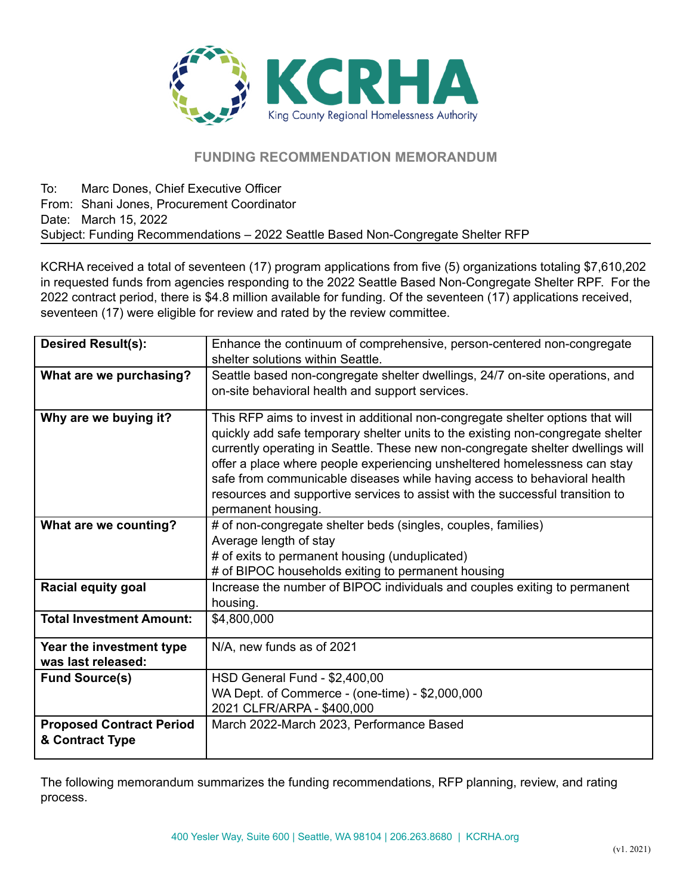

# **FUNDING RECOMMENDATION MEMORANDUM**

To: Marc Dones, Chief Executive Officer From: Shani Jones, Procurement Coordinator Date: March 15, 2022 Subject: Funding Recommendations – 2022 Seattle Based Non-Congregate Shelter RFP

KCRHA received a total of seventeen (17) program applications from five (5) organizations totaling \$7,610,202 in requested funds from agencies responding to the 2022 Seattle Based Non-Congregate Shelter RPF. For the 2022 contract period, there is \$4.8 million available for funding. Of the seventeen (17) applications received, seventeen (17) were eligible for review and rated by the review committee.

| <b>Desired Result(s):</b>                          | Enhance the continuum of comprehensive, person-centered non-congregate                                                                                                                                                                                                                                                                                                                                                                                                                                               |  |  |  |  |  |
|----------------------------------------------------|----------------------------------------------------------------------------------------------------------------------------------------------------------------------------------------------------------------------------------------------------------------------------------------------------------------------------------------------------------------------------------------------------------------------------------------------------------------------------------------------------------------------|--|--|--|--|--|
|                                                    | shelter solutions within Seattle.                                                                                                                                                                                                                                                                                                                                                                                                                                                                                    |  |  |  |  |  |
| What are we purchasing?                            | Seattle based non-congregate shelter dwellings, 24/7 on-site operations, and<br>on-site behavioral health and support services.                                                                                                                                                                                                                                                                                                                                                                                      |  |  |  |  |  |
| Why are we buying it?                              | This RFP aims to invest in additional non-congregate shelter options that will<br>quickly add safe temporary shelter units to the existing non-congregate shelter<br>currently operating in Seattle. These new non-congregate shelter dwellings will<br>offer a place where people experiencing unsheltered homelessness can stay<br>safe from communicable diseases while having access to behavioral health<br>resources and supportive services to assist with the successful transition to<br>permanent housing. |  |  |  |  |  |
| What are we counting?                              | # of non-congregate shelter beds (singles, couples, families)                                                                                                                                                                                                                                                                                                                                                                                                                                                        |  |  |  |  |  |
|                                                    | Average length of stay                                                                                                                                                                                                                                                                                                                                                                                                                                                                                               |  |  |  |  |  |
|                                                    | # of exits to permanent housing (unduplicated)                                                                                                                                                                                                                                                                                                                                                                                                                                                                       |  |  |  |  |  |
|                                                    | # of BIPOC households exiting to permanent housing                                                                                                                                                                                                                                                                                                                                                                                                                                                                   |  |  |  |  |  |
| <b>Racial equity goal</b>                          | Increase the number of BIPOC individuals and couples exiting to permanent                                                                                                                                                                                                                                                                                                                                                                                                                                            |  |  |  |  |  |
|                                                    | housing.                                                                                                                                                                                                                                                                                                                                                                                                                                                                                                             |  |  |  |  |  |
| <b>Total Investment Amount:</b>                    | \$4,800,000                                                                                                                                                                                                                                                                                                                                                                                                                                                                                                          |  |  |  |  |  |
| Year the investment type                           | N/A, new funds as of 2021                                                                                                                                                                                                                                                                                                                                                                                                                                                                                            |  |  |  |  |  |
| was last released:                                 |                                                                                                                                                                                                                                                                                                                                                                                                                                                                                                                      |  |  |  |  |  |
| <b>Fund Source(s)</b>                              | HSD General Fund - \$2,400,00                                                                                                                                                                                                                                                                                                                                                                                                                                                                                        |  |  |  |  |  |
|                                                    | WA Dept. of Commerce - (one-time) - \$2,000,000                                                                                                                                                                                                                                                                                                                                                                                                                                                                      |  |  |  |  |  |
|                                                    | 2021 CLFR/ARPA - \$400,000                                                                                                                                                                                                                                                                                                                                                                                                                                                                                           |  |  |  |  |  |
| <b>Proposed Contract Period</b><br>& Contract Type | March 2022-March 2023, Performance Based                                                                                                                                                                                                                                                                                                                                                                                                                                                                             |  |  |  |  |  |

The following memorandum summarizes the funding recommendations, RFP planning, review, and rating process.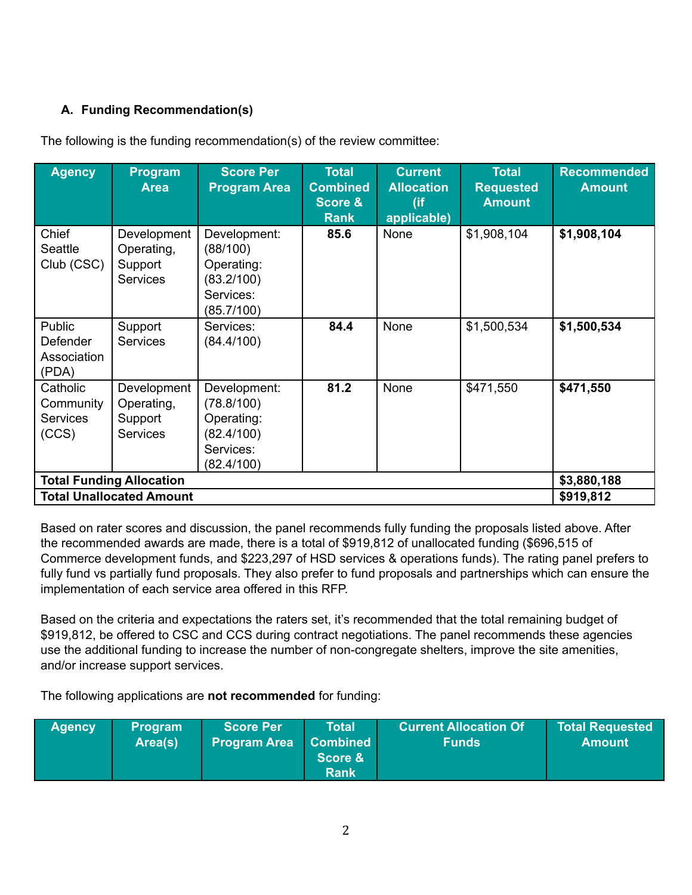# **A. Funding Recommendation(s)**

| <b>Agency</b>                                     | Program<br><b>Area</b>                                  | <b>Score Per</b><br><b>Program Area</b>                                           | <b>Total</b><br><b>Combined</b><br><b>Score &amp;</b><br><b>Rank</b> | <b>Current</b><br><b>Allocation</b><br>(if<br>applicable) | <b>Total</b><br><b>Requested</b><br><b>Amount</b> | <b>Recommended</b><br><b>Amount</b> |
|---------------------------------------------------|---------------------------------------------------------|-----------------------------------------------------------------------------------|----------------------------------------------------------------------|-----------------------------------------------------------|---------------------------------------------------|-------------------------------------|
| Chief<br>Seattle<br>Club (CSC)                    | Development<br>Operating,<br>Support<br><b>Services</b> | Development:<br>(88/100)<br>Operating:<br>(83.2/100)<br>Services:<br>(85.7/100)   | 85.6                                                                 | <b>None</b>                                               | \$1,908,104                                       | \$1,908,104                         |
| Public<br>Defender<br>Association<br>(PDA)        | Support<br><b>Services</b>                              | Services:<br>(84.4/100)                                                           | 84.4                                                                 | None                                                      | \$1,500,534                                       | \$1,500,534                         |
| Catholic<br>Community<br><b>Services</b><br>(CCS) | Development<br>Operating,<br>Support<br><b>Services</b> | Development:<br>(78.8/100)<br>Operating:<br>(82.4/100)<br>Services:<br>(82.4/100) | 81.2                                                                 | None                                                      | \$471,550                                         | \$471,550                           |
| <b>Total Funding Allocation</b>                   |                                                         |                                                                                   |                                                                      |                                                           |                                                   | \$3,880,188                         |
| <b>Total Unallocated Amount</b>                   |                                                         |                                                                                   |                                                                      |                                                           |                                                   | \$919,812                           |

The following is the funding recommendation(s) of the review committee:

Based on rater scores and discussion, the panel recommends fully funding the proposals listed above. After the recommended awards are made, there is a total of \$919,812 of unallocated funding (\$696,515 of Commerce development funds, and \$223,297 of HSD services & operations funds). The rating panel prefers to fully fund vs partially fund proposals. They also prefer to fund proposals and partnerships which can ensure the implementation of each service area offered in this RFP.

Based on the criteria and expectations the raters set, it's recommended that the total remaining budget of \$919,812, be offered to CSC and CCS during contract negotiations. The panel recommends these agencies use the additional funding to increase the number of non-congregate shelters, improve the site amenities, and/or increase support services.

The following applications are **not recommended** for funding:

| <b>Agency</b> | <b>∖Program</b><br>Area(s) | ∣Score Per <sup>।</sup><br><b>Program Area</b> | Total<br>Combined<br><b>Score &amp;</b><br><b>Rank</b> | <b>Current Allocation Of</b><br><b>Funds</b> | <b>Total Requested</b><br>Amount |
|---------------|----------------------------|------------------------------------------------|--------------------------------------------------------|----------------------------------------------|----------------------------------|
|---------------|----------------------------|------------------------------------------------|--------------------------------------------------------|----------------------------------------------|----------------------------------|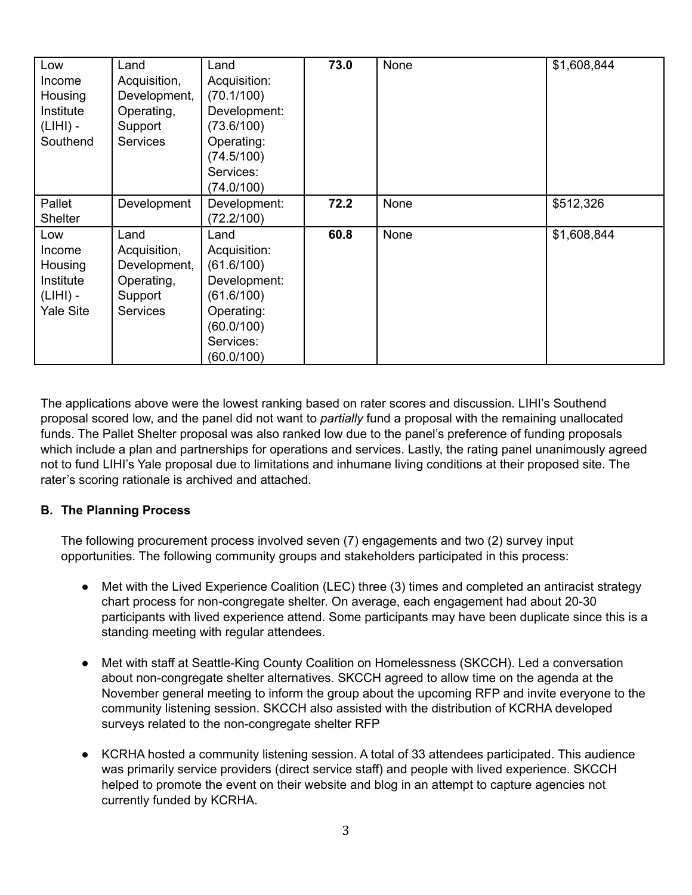| Low<br>Income<br>Housing<br>Institute<br>$(LHH)$ -<br>Southend | Land<br>Acquisition,<br>Development,<br>Operating,<br>Support<br><b>Services</b> | Land<br>Acquisition:<br>(70.1/100)<br>Development:<br>(73.6/100)<br>Operating:<br>(74.5/100)<br>Services: | 73.0 | None | \$1,608,844 |
|----------------------------------------------------------------|----------------------------------------------------------------------------------|-----------------------------------------------------------------------------------------------------------|------|------|-------------|
|                                                                |                                                                                  | (74.0/100)                                                                                                |      |      |             |
| Pallet                                                         | Development                                                                      | Development:                                                                                              | 72.2 | None | \$512,326   |
| <b>Shelter</b>                                                 |                                                                                  | (72.2/100)                                                                                                |      |      |             |
| Low                                                            | Land                                                                             | Land                                                                                                      | 60.8 | None | \$1,608,844 |
| Income                                                         | Acquisition,                                                                     | Acquisition:                                                                                              |      |      |             |
| Housing                                                        | Development,                                                                     | (61.6/100)                                                                                                |      |      |             |
| Institute                                                      | Operating,                                                                       | Development:                                                                                              |      |      |             |
| $(LHH)$ -                                                      | Support                                                                          | (61.6/100)                                                                                                |      |      |             |
| <b>Yale Site</b>                                               | <b>Services</b>                                                                  | Operating:                                                                                                |      |      |             |
|                                                                |                                                                                  | (60.0/100)                                                                                                |      |      |             |
|                                                                |                                                                                  | Services:                                                                                                 |      |      |             |
|                                                                |                                                                                  | (60.0/100)                                                                                                |      |      |             |

The applications above were the lowest ranking based on rater scores and discussion. LIHI's Southend proposal scored low, and the panel did not want to *partially* fund a proposal with the remaining unallocated funds. The Pallet Shelter proposal was also ranked low due to the panel's preference of funding proposals which include a plan and partnerships for operations and services. Lastly, the rating panel unanimously agreed not to fund LIHI's Yale proposal due to limitations and inhumane living conditions at their proposed site. The rater's scoring rationale is archived and attached.

# **B. The Planning Process**

The following procurement process involved seven (7) engagements and two (2) survey input opportunities. The following community groups and stakeholders participated in this process:

- Met with the Lived Experience Coalition (LEC) three (3) times and completed an antiracist strategy chart process for non-congregate shelter. On average, each engagement had about 20-30 participants with lived experience attend. Some participants may have been duplicate since this is a standing meeting with regular attendees.
- Met with staff at Seattle-King County Coalition on Homelessness (SKCCH). Led a conversation about non-congregate shelter alternatives. SKCCH agreed to allow time on the agenda at the November general meeting to inform the group about the upcoming RFP and invite everyone to the community listening session. SKCCH also assisted with the distribution of KCRHA developed surveys related to the non-congregate shelter RFP
- KCRHA hosted a community listening session. A total of 33 attendees participated. This audience was primarily service providers (direct service staff) and people with lived experience. SKCCH helped to promote the event on their website and blog in an attempt to capture agencies not currently funded by KCRHA.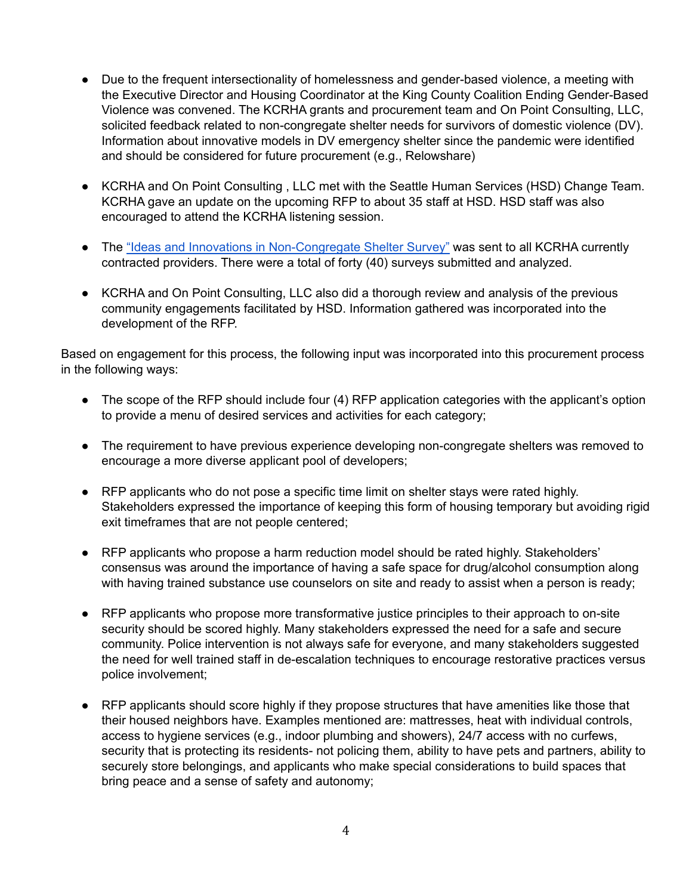- Due to the frequent intersectionality of homelessness and gender-based violence, a meeting with the Executive Director and Housing Coordinator at the King County Coalition Ending Gender-Based Violence was convened. The KCRHA grants and procurement team and On Point Consulting, LLC, solicited feedback related to non-congregate shelter needs for survivors of domestic violence (DV). Information about innovative models in DV emergency shelter since the pandemic were identified and should be considered for future procurement (e.g., Relowshare)
- KCRHA and On Point Consulting , LLC met with the Seattle Human Services (HSD) Change Team. KCRHA gave an update on the upcoming RFP to about 35 staff at HSD. HSD staff was also encouraged to attend the KCRHA listening session.
- The "Ideas and Innovations in [Non-Congregate](https://forms.gle/X4dsM73cvZC3RZFn7) Shelter Survey" was sent to all KCRHA currently contracted providers. There were a total of forty (40) surveys submitted and analyzed.
- KCRHA and On Point Consulting, LLC also did a thorough review and analysis of the previous community engagements facilitated by HSD. Information gathered was incorporated into the development of the RFP.

Based on engagement for this process, the following input was incorporated into this procurement process in the following ways:

- The scope of the RFP should include four (4) RFP application categories with the applicant's option to provide a menu of desired services and activities for each category;
- The requirement to have previous experience developing non-congregate shelters was removed to encourage a more diverse applicant pool of developers;
- RFP applicants who do not pose a specific time limit on shelter stays were rated highly. Stakeholders expressed the importance of keeping this form of housing temporary but avoiding rigid exit timeframes that are not people centered;
- RFP applicants who propose a harm reduction model should be rated highly. Stakeholders' consensus was around the importance of having a safe space for drug/alcohol consumption along with having trained substance use counselors on site and ready to assist when a person is ready;
- RFP applicants who propose more transformative justice principles to their approach to on-site security should be scored highly. Many stakeholders expressed the need for a safe and secure community. Police intervention is not always safe for everyone, and many stakeholders suggested the need for well trained staff in de-escalation techniques to encourage restorative practices versus police involvement;
- RFP applicants should score highly if they propose structures that have amenities like those that their housed neighbors have. Examples mentioned are: mattresses, heat with individual controls, access to hygiene services (e.g., indoor plumbing and showers), 24/7 access with no curfews, security that is protecting its residents- not policing them, ability to have pets and partners, ability to securely store belongings, and applicants who make special considerations to build spaces that bring peace and a sense of safety and autonomy;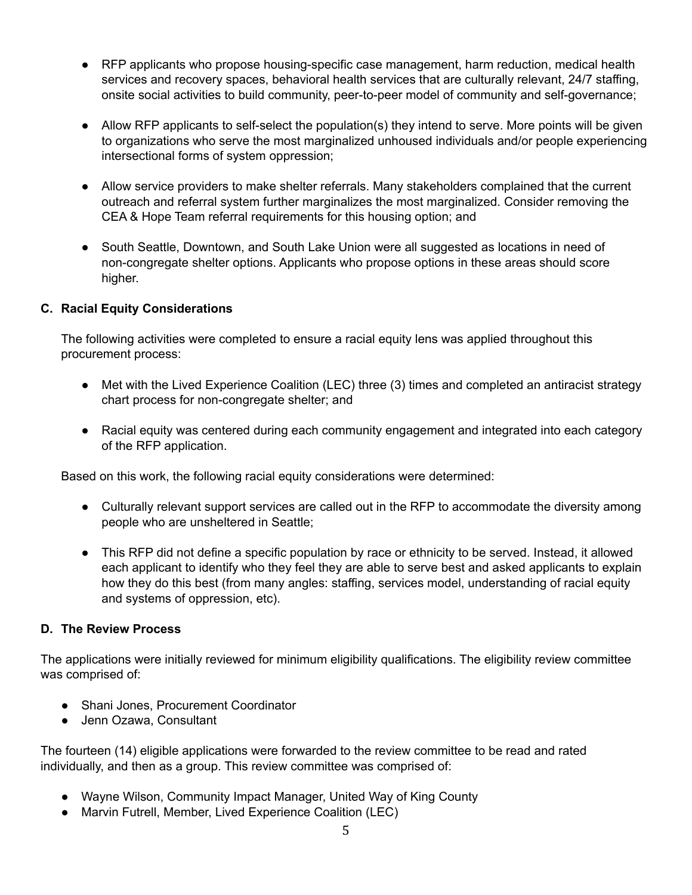- RFP applicants who propose housing-specific case management, harm reduction, medical health services and recovery spaces, behavioral health services that are culturally relevant, 24/7 staffing, onsite social activities to build community, peer-to-peer model of community and self-governance;
- Allow RFP applicants to self-select the population(s) they intend to serve. More points will be given to organizations who serve the most marginalized unhoused individuals and/or people experiencing intersectional forms of system oppression;
- Allow service providers to make shelter referrals. Many stakeholders complained that the current outreach and referral system further marginalizes the most marginalized. Consider removing the CEA & Hope Team referral requirements for this housing option; and
- South Seattle, Downtown, and South Lake Union were all suggested as locations in need of non-congregate shelter options. Applicants who propose options in these areas should score higher.

## **C. Racial Equity Considerations**

The following activities were completed to ensure a racial equity lens was applied throughout this procurement process:

- Met with the Lived Experience Coalition (LEC) three (3) times and completed an antiracist strategy chart process for non-congregate shelter; and
- Racial equity was centered during each community engagement and integrated into each category of the RFP application.

Based on this work, the following racial equity considerations were determined:

- Culturally relevant support services are called out in the RFP to accommodate the diversity among people who are unsheltered in Seattle;
- This RFP did not define a specific population by race or ethnicity to be served. Instead, it allowed each applicant to identify who they feel they are able to serve best and asked applicants to explain how they do this best (from many angles: staffing, services model, understanding of racial equity and systems of oppression, etc).

## **D. The Review Process**

The applications were initially reviewed for minimum eligibility qualifications. The eligibility review committee was comprised of:

- Shani Jones, Procurement Coordinator
- Jenn Ozawa, Consultant

The fourteen (14) eligible applications were forwarded to the review committee to be read and rated individually, and then as a group. This review committee was comprised of:

- Wayne Wilson, Community Impact Manager, United Way of King County
- Marvin Futrell, Member, Lived Experience Coalition (LEC)